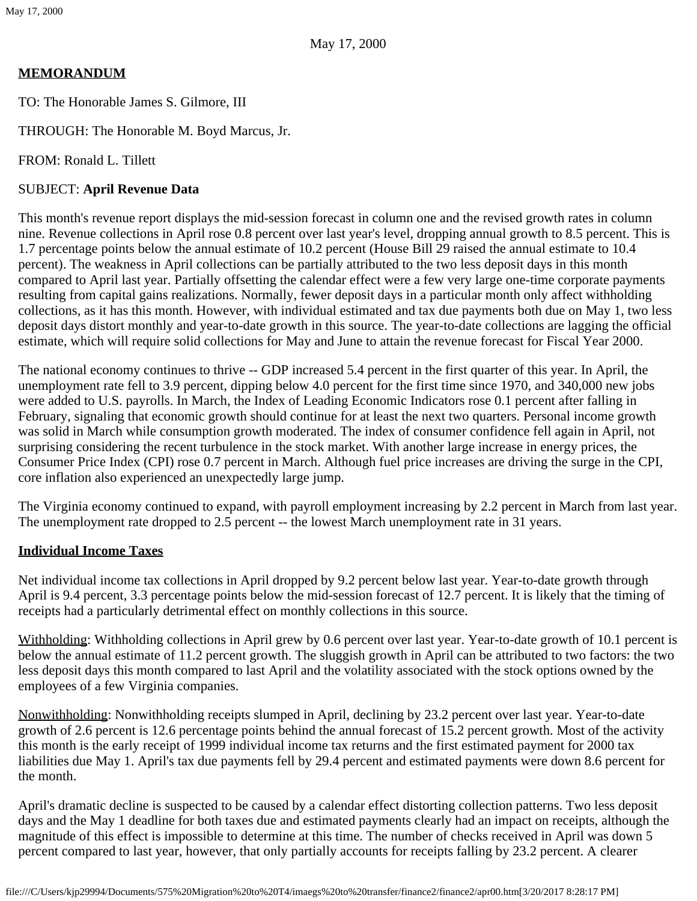# **MEMORANDUM**

TO: The Honorable James S. Gilmore, III

THROUGH: The Honorable M. Boyd Marcus, Jr.

FROM: Ronald L. Tillett

## SUBJECT: **April Revenue Data**

This month's revenue report displays the mid-session forecast in column one and the revised growth rates in column nine. Revenue collections in April rose 0.8 percent over last year's level, dropping annual growth to 8.5 percent. This is 1.7 percentage points below the annual estimate of 10.2 percent (House Bill 29 raised the annual estimate to 10.4 percent). The weakness in April collections can be partially attributed to the two less deposit days in this month compared to April last year. Partially offsetting the calendar effect were a few very large one-time corporate payments resulting from capital gains realizations. Normally, fewer deposit days in a particular month only affect withholding collections, as it has this month. However, with individual estimated and tax due payments both due on May 1, two less deposit days distort monthly and year-to-date growth in this source. The year-to-date collections are lagging the official estimate, which will require solid collections for May and June to attain the revenue forecast for Fiscal Year 2000.

The national economy continues to thrive -- GDP increased 5.4 percent in the first quarter of this year. In April, the unemployment rate fell to 3.9 percent, dipping below 4.0 percent for the first time since 1970, and 340,000 new jobs were added to U.S. payrolls. In March, the Index of Leading Economic Indicators rose 0.1 percent after falling in February, signaling that economic growth should continue for at least the next two quarters. Personal income growth was solid in March while consumption growth moderated. The index of consumer confidence fell again in April, not surprising considering the recent turbulence in the stock market. With another large increase in energy prices, the Consumer Price Index (CPI) rose 0.7 percent in March. Although fuel price increases are driving the surge in the CPI, core inflation also experienced an unexpectedly large jump.

The Virginia economy continued to expand, with payroll employment increasing by 2.2 percent in March from last year. The unemployment rate dropped to 2.5 percent -- the lowest March unemployment rate in 31 years.

# **Individual Income Taxes**

Net individual income tax collections in April dropped by 9.2 percent below last year. Year-to-date growth through April is 9.4 percent, 3.3 percentage points below the mid-session forecast of 12.7 percent. It is likely that the timing of receipts had a particularly detrimental effect on monthly collections in this source.

Withholding: Withholding collections in April grew by 0.6 percent over last year. Year-to-date growth of 10.1 percent is below the annual estimate of 11.2 percent growth. The sluggish growth in April can be attributed to two factors: the two less deposit days this month compared to last April and the volatility associated with the stock options owned by the employees of a few Virginia companies.

Nonwithholding: Nonwithholding receipts slumped in April, declining by 23.2 percent over last year. Year-to-date growth of 2.6 percent is 12.6 percentage points behind the annual forecast of 15.2 percent growth. Most of the activity this month is the early receipt of 1999 individual income tax returns and the first estimated payment for 2000 tax liabilities due May 1. April's tax due payments fell by 29.4 percent and estimated payments were down 8.6 percent for the month.

April's dramatic decline is suspected to be caused by a calendar effect distorting collection patterns. Two less deposit days and the May 1 deadline for both taxes due and estimated payments clearly had an impact on receipts, although the magnitude of this effect is impossible to determine at this time. The number of checks received in April was down 5 percent compared to last year, however, that only partially accounts for receipts falling by 23.2 percent. A clearer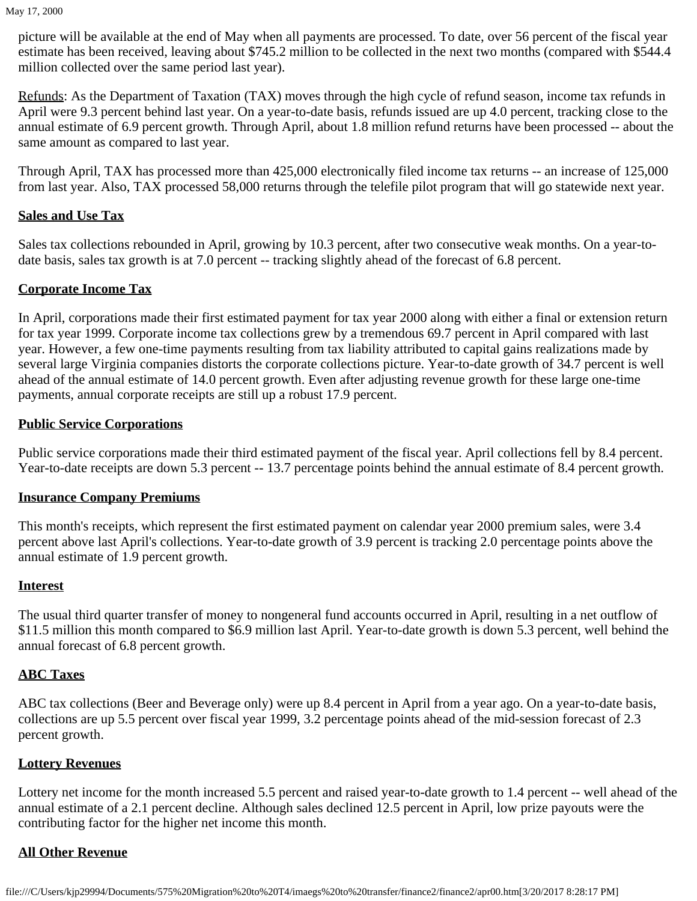picture will be available at the end of May when all payments are processed. To date, over 56 percent of the fiscal year estimate has been received, leaving about \$745.2 million to be collected in the next two months (compared with \$544.4 million collected over the same period last year).

Refunds: As the Department of Taxation (TAX) moves through the high cycle of refund season, income tax refunds in April were 9.3 percent behind last year. On a year-to-date basis, refunds issued are up 4.0 percent, tracking close to the annual estimate of 6.9 percent growth. Through April, about 1.8 million refund returns have been processed -- about the same amount as compared to last year.

Through April, TAX has processed more than 425,000 electronically filed income tax returns -- an increase of 125,000 from last year. Also, TAX processed 58,000 returns through the telefile pilot program that will go statewide next year.

## **Sales and Use Tax**

Sales tax collections rebounded in April, growing by 10.3 percent, after two consecutive weak months. On a year-todate basis, sales tax growth is at 7.0 percent -- tracking slightly ahead of the forecast of 6.8 percent.

# **Corporate Income Tax**

In April, corporations made their first estimated payment for tax year 2000 along with either a final or extension return for tax year 1999. Corporate income tax collections grew by a tremendous 69.7 percent in April compared with last year. However, a few one-time payments resulting from tax liability attributed to capital gains realizations made by several large Virginia companies distorts the corporate collections picture. Year-to-date growth of 34.7 percent is well ahead of the annual estimate of 14.0 percent growth. Even after adjusting revenue growth for these large one-time payments, annual corporate receipts are still up a robust 17.9 percent.

#### **Public Service Corporations**

Public service corporations made their third estimated payment of the fiscal year. April collections fell by 8.4 percent. Year-to-date receipts are down 5.3 percent -- 13.7 percentage points behind the annual estimate of 8.4 percent growth.

#### **Insurance Company Premiums**

This month's receipts, which represent the first estimated payment on calendar year 2000 premium sales, were 3.4 percent above last April's collections. Year-to-date growth of 3.9 percent is tracking 2.0 percentage points above the annual estimate of 1.9 percent growth.

#### **Interest**

The usual third quarter transfer of money to nongeneral fund accounts occurred in April, resulting in a net outflow of \$11.5 million this month compared to \$6.9 million last April. Year-to-date growth is down 5.3 percent, well behind the annual forecast of 6.8 percent growth.

# **ABC Taxes**

ABC tax collections (Beer and Beverage only) were up 8.4 percent in April from a year ago. On a year-to-date basis, collections are up 5.5 percent over fiscal year 1999, 3.2 percentage points ahead of the mid-session forecast of 2.3 percent growth.

# **Lottery Revenues**

Lottery net income for the month increased 5.5 percent and raised year-to-date growth to 1.4 percent -- well ahead of the annual estimate of a 2.1 percent decline. Although sales declined 12.5 percent in April, low prize payouts were the contributing factor for the higher net income this month.

# **All Other Revenue**